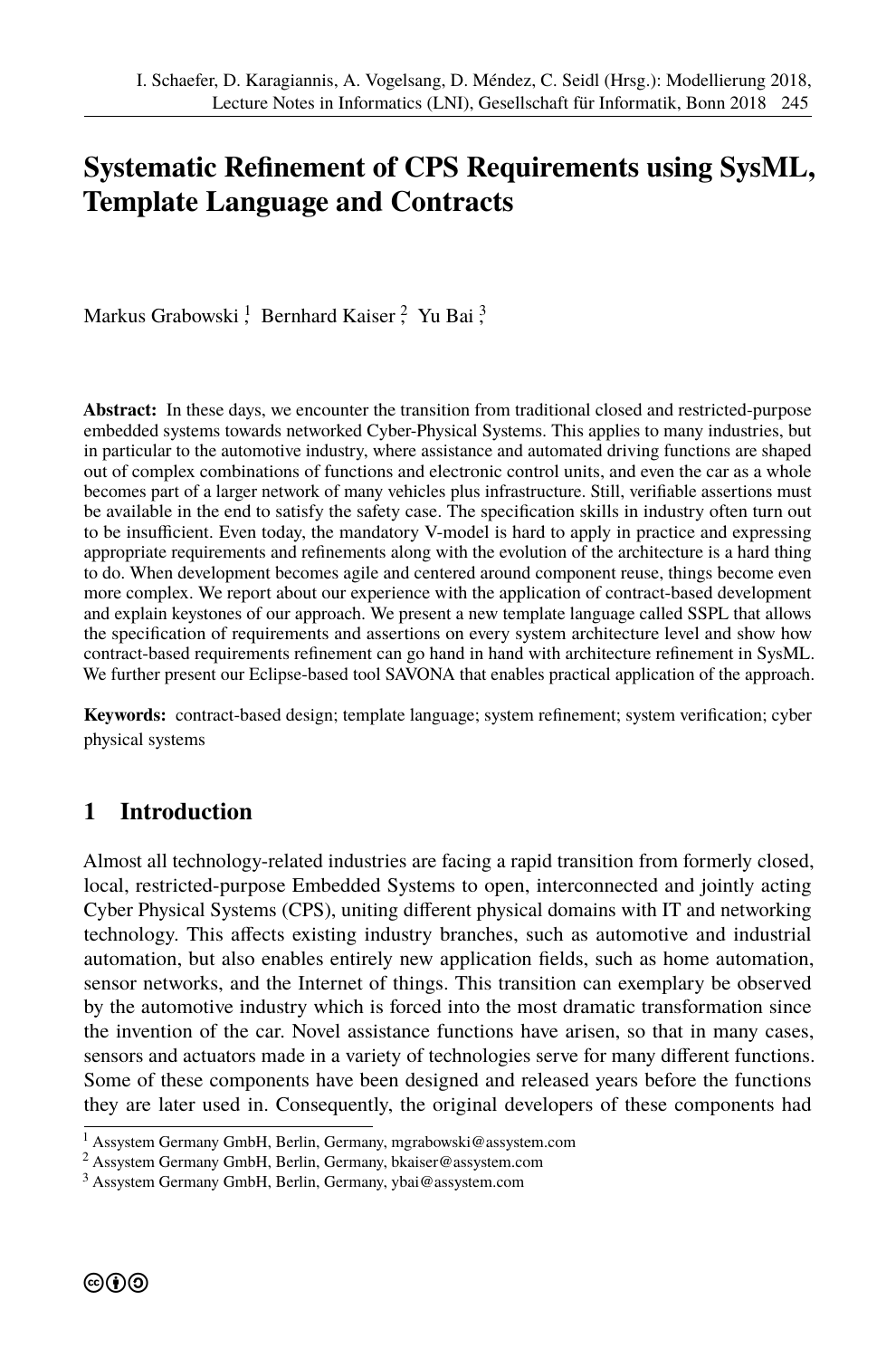# **Systematic Refinement of CPS Requirements using SysML, Template Language and Contracts**

Markus Grabowski <sup>1</sup>, Bernhard Kaiser <sup>2</sup>, Yu Bai <sup>3</sup>,

**Abstract:** In these days, we encounter the transition from traditional closed and restricted-purpose embedded systems towards networked Cyber-Physical Systems. This applies to many industries, but in particular to the automotive industry, where assistance and automated driving functions are shaped out of complex combinations of functions and electronic control units, and even the car as a whole becomes part of a larger network of many vehicles plus infrastructure. Still, verifiable assertions must be available in the end to satisfy the safety case. The specification skills in industry often turn out to be insufficient. Even today, the mandatory V-model is hard to apply in practice and expressing appropriate requirements and refinements along with the evolution of the architecture is a hard thing to do. When development becomes agile and centered around component reuse, things become even more complex. We report about our experience with the application of contract-based development and explain keystones of our approach. We present a new template language called SSPL that allows the specification of requirements and assertions on every system architecture level and show how contract-based requirements refinement can go hand in hand with architecture refinement in SysML. We further present our Eclipse-based tool SAVONA that enables practical application of the approach.

Keywords: contract-based design; template language; system refinement; system verification; cyber physical systems

### **1 Introduction**

Almost all technology-related industries are facing a rapid transition from formerly closed, local, restricted-purpose Embedded Systems to open, interconnected and jointly acting Cyber Physical Systems (CPS), uniting different physical domains with IT and networking technology. This affects existing industry branches, such as automotive and industrial automation, but also enables entirely new application fields, such as home automation, sensor networks, and the Internet of things. This transition can exemplary be observed by the automotive industry which is forced into the most dramatic transformation since the invention of the car. Novel assistance functions have arisen, so that in many cases, sensors and actuators made in a variety of technologies serve for many different functions. Some of these components have been designed and released years before the functions they are later used in. Consequently, the original developers of these components had

 $<sup>1</sup>$  Assystem Germany GmbH, Berlin, Germany, mgrabowski@assystem.com</sup>

<sup>2</sup> Assystem Germany GmbH, Berlin, Germany, [bkaiser@assystem.com](mgrabowski@assystem.com)

<sup>3</sup> Assystem Germany GmbH, Berlin, Germany,<ybai@assystem.com>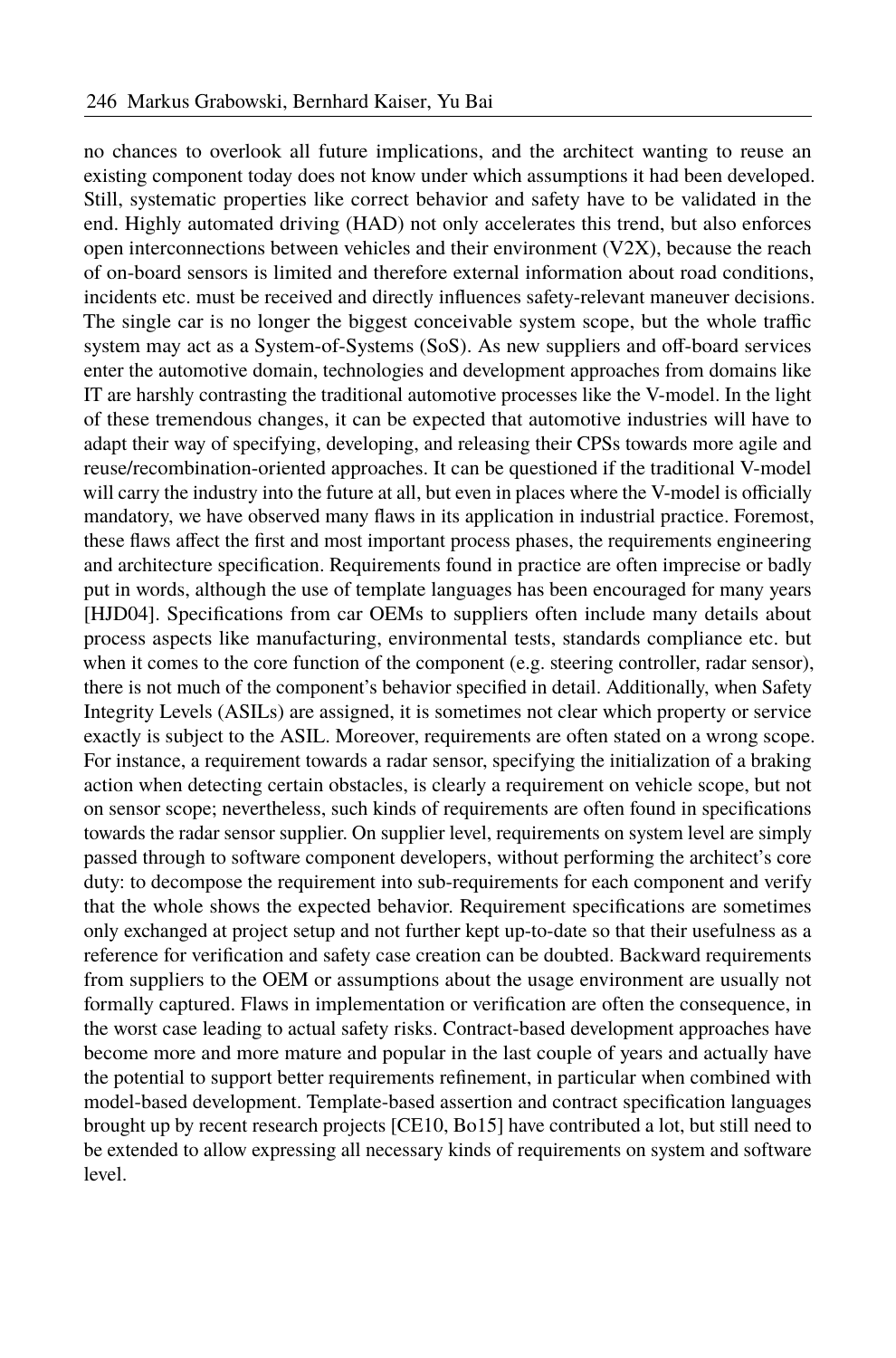no chances to overlook all future implications, and the architect wanting to reuse an existing component today does not know under which assumptions it had been developed. Still, systematic properties like correct behavior and safety have to be validated in the end. Highly automated driving (HAD) not only accelerates this trend, but also enforces open interconnections between vehicles and their environment  $(V2X)$ , because the reach of on-board sensors is limited and therefore external information about road conditions, incidents etc. must be received and directly influences safety-relevant maneuver decisions. The single car is no longer the biggest conceivable system scope, but the whole traffic system may act as a System-of-Systems (SoS). As new suppliers and off-board services enter the automotive domain, technologies and development approaches from domains like IT are harshly contrasting the traditional automotive processes like the V-model. In the light of these tremendous changes, it can be expected that automotive industries will have to adapt their way of specifying, developing, and releasing their CPSs towards more agile and reuse/recombination-oriented approaches. It can be questioned if the traditional V-model will carry the industry into the future at all, but even in places where the V-model is officially mandatory, we have observed many flaws in its application in industrial practice. Foremost, these flaws affect the first and most important process phases, the requirements engineering and architecture specification. Requirements found in practice are often imprecise or badly put in words, although the use of template languages has been encouraged for many years [\[HJD04\]](#page-15-0). Specifications from car OEMs to suppliers often include many details about process aspects like manufacturing, environmental tests, standards compliance etc. but when it comes to the core function of the component (e.g. steering controller, radar sensor), there is not much of the component's behavior specified in detail. Additionally, when Safety Integrity Levels (ASILs) are assigned, it is sometimes not clear which property or service exactly is subject to the ASIL. Moreover, requirements are often stated on a wrong scope. For instance, a requirement towards a radar sensor, specifying the initialization of a braking action when detecting certain obstacles, is clearly a requirement on vehicle scope, but not on sensor scope; nevertheless, such kinds of requirements are often found in specifications towards the radar sensor supplier. On supplier level, requirements on system level are simply passed through to software component developers, without performing the architect's core duty: to decompose the requirement into sub-requirements for each component and verify that the whole shows the expected behavior. Requirement specifications are sometimes only exchanged at project setup and not further kept up-to-date so that their usefulness as a reference for verification and safety case creation can be doubted. Backward requirements from suppliers to the OEM or assumptions about the usage environment are usually not formally captured. Flaws in implementation or verification are often the consequence, in the worst case leading to actual safety risks. Contract-based development approaches have become more and more mature and popular in the last couple of years and actually have the potential to support better requirements refinement, in particular when combined with model-based development. Template-based assertion and contract specification languages brought up by recent research projects [\[CE10,](#page-15-1) [Bo15\]](#page-15-2) have contributed a lot, but still need to be extended to allow expressing all necessary kinds of requirements on system and software level.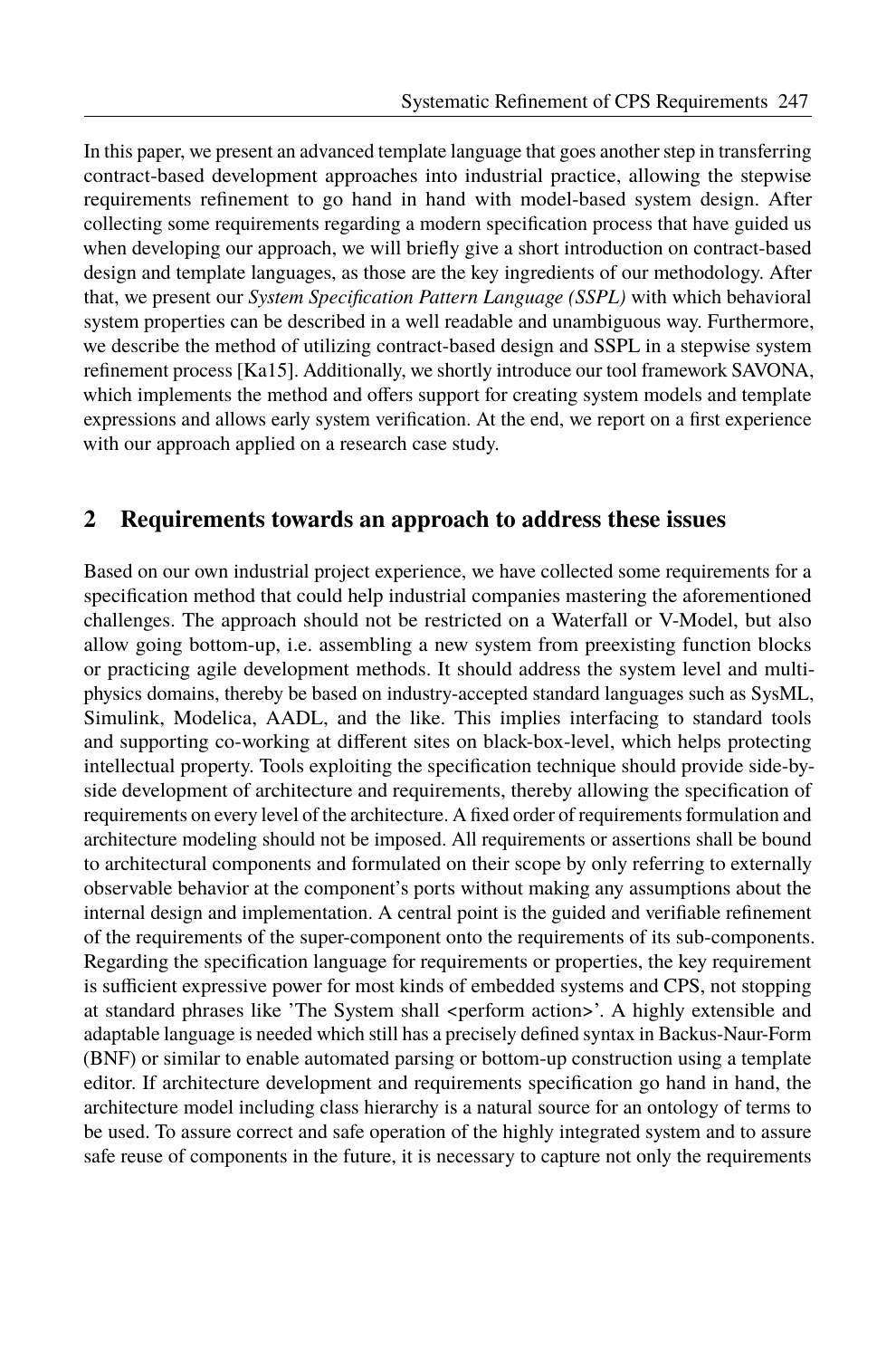In this paper, we present an advanced template language that goes another step in transferring contract-based development approaches into industrial practice, allowing the stepwise requirements refinement to go hand in hand with model-based system design. After collecting some requirements regarding a modern specification process that have guided us when developing our approach, we will briefly give a short introduction on contract-based design and template languages, as those are the key ingredients of our methodology. After that, we present our *System Specification Pattern Language (SSPL)* with which behavioral system properties can be described in a well readable and unambiguous way. Furthermore, we describe the method of utilizing contract-based design and SSPL in a stepwise system refinement process [\[Ka15\]](#page-15-3). Additionally, we shortly introduce our tool framework SAVONA, which implements the method and offers support for creating system models and template expressions and allows early system verification. At the end, we report on a first experience with our approach applied on a research case study.

### **2 Requirements towards an approach to address these issues**

Based on our own industrial project experience, we have collected some requirements for a specification method that could help industrial companies mastering the aforementioned challenges. The approach should not be restricted on a Waterfall or V-Model, but also allow going bottom-up, i.e. assembling a new system from preexisting function blocks or practicing agile development methods. It should address the system level and multiphysics domains, thereby be based on industry-accepted standard languages such as SysML, Simulink, Modelica, AADL, and the like. This implies interfacing to standard tools and supporting co-working at different sites on black-box-level, which helps protecting intellectual property. Tools exploiting the specification technique should provide side-byside development of architecture and requirements, thereby allowing the specification of requirements on every level of the architecture. A fixed order of requirements formulation and architecture modeling should not be imposed. All requirements or assertions shall be bound to architectural components and formulated on their scope by only referring to externally observable behavior at the component's ports without making any assumptions about the internal design and implementation. A central point is the guided and verifiable refinement of the requirements of the super-component onto the requirements of its sub-components. Regarding the specification language for requirements or properties, the key requirement is sufficient expressive power for most kinds of embedded systems and CPS, not stopping at standard phrases like 'The System shall <perform action>'. A highly extensible and adaptable language is needed which still has a precisely defined syntax in Backus-Naur-Form (BNF) or similar to enable automated parsing or bottom-up construction using a template editor. If architecture development and requirements specification go hand in hand, the architecture model including class hierarchy is a natural source for an ontology of terms to be used. To assure correct and safe operation of the highly integrated system and to assure safe reuse of components in the future, it is necessary to capture not only the requirements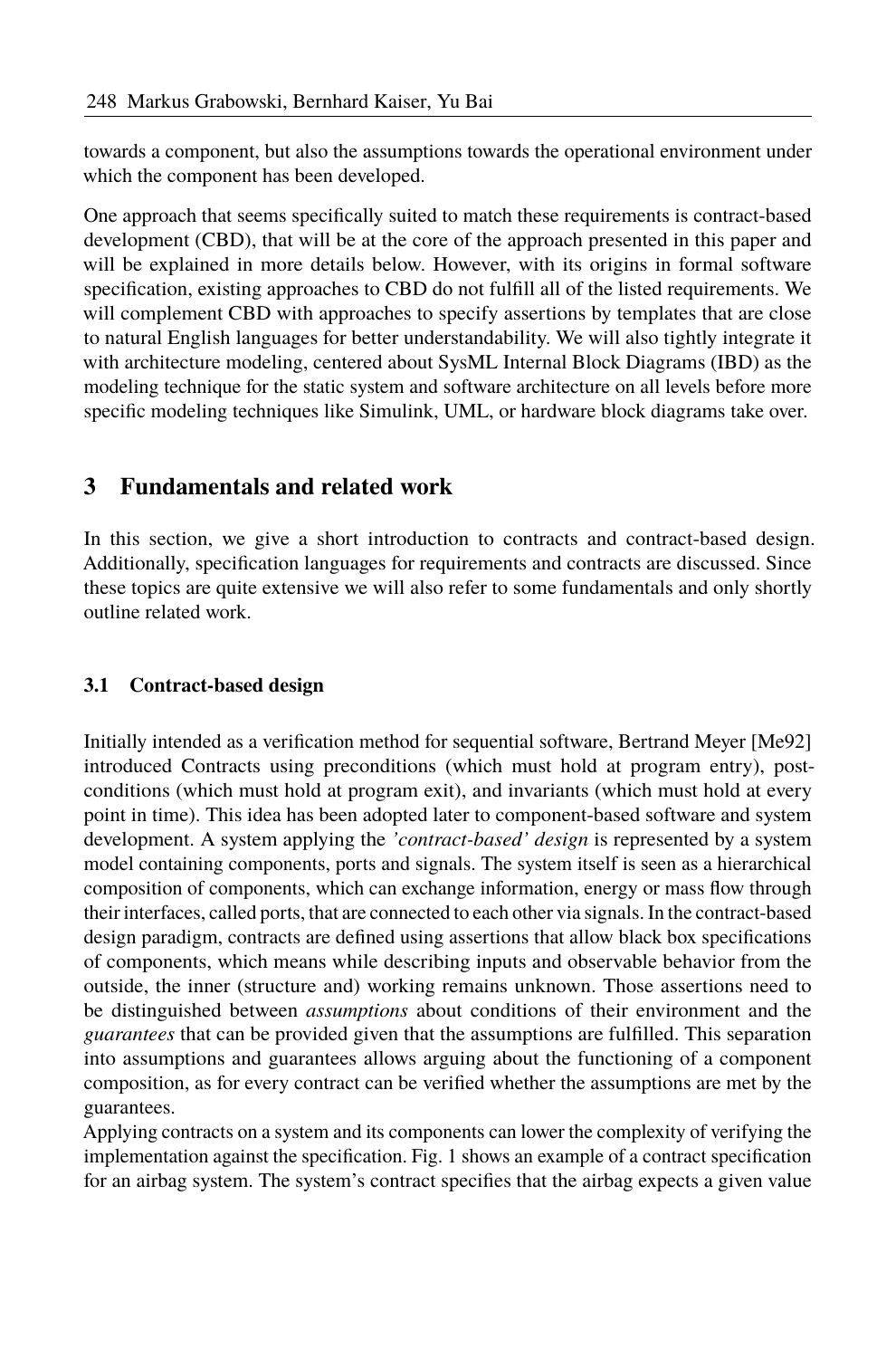towards a component, but also the assumptions towards the operational environment under which the component has been developed.

One approach that seems specifically suited to match these requirements is contract-based development (CBD), that will be at the core of the approach presented in this paper and will be explained in more details below. However, with its origins in formal software specification, existing approaches to CBD do not fulfill all of the listed requirements. We will complement CBD with approaches to specify assertions by templates that are close to natural English languages for better understandability. We will also tightly integrate it with architecture modeling, centered about SysML Internal Block Diagrams (IBD) as the modeling technique for the static system and software architecture on all levels before more specific modeling techniques like Simulink, UML, or hardware block diagrams take over.

## **3 Fundamentals and related work**

In this section, we give a short introduction to contracts and contract-based design. Additionally, specification languages for requirements and contracts are discussed. Since these topics are quite extensive we will also refer to some fundamentals and only shortly outline related work.

#### **3.1 Contract-based design**

Initially intended as a verification method for sequential software, Bertrand Meyer [\[Me92\]](#page-15-4) introduced Contracts using preconditions (which must hold at program entry), postconditions (which must hold at program exit), and invariants (which must hold at every point in time). This idea has been adopted later to component-based software and system development. A system applying the *'contract-based' design* is represented by a system model containing components, ports and signals. The system itself is seen as a hierarchical composition of components, which can exchange information, energy or mass flow through their interfaces, called ports, that are connected to each other via signals. In the contract-based design paradigm, contracts are defined using assertions that allow black box specifications of components, which means while describing inputs and observable behavior from the outside, the inner (structure and) working remains unknown. Those assertions need to be distinguished between *assumptions* about conditions of their environment and the *guarantees* that can be provided given that the assumptions are fulfilled. This separation into assumptions and guarantees allows arguing about the functioning of a component composition, as for every contract can be verified whether the assumptions are met by the guarantees.

Applying contracts on a system and its components can lower the complexity of verifying the implementation against the specification. Fig[. 1](#page-4-0) shows an example of a contract specification for an airbag system. The system's contract specifies that the airbag expects a given value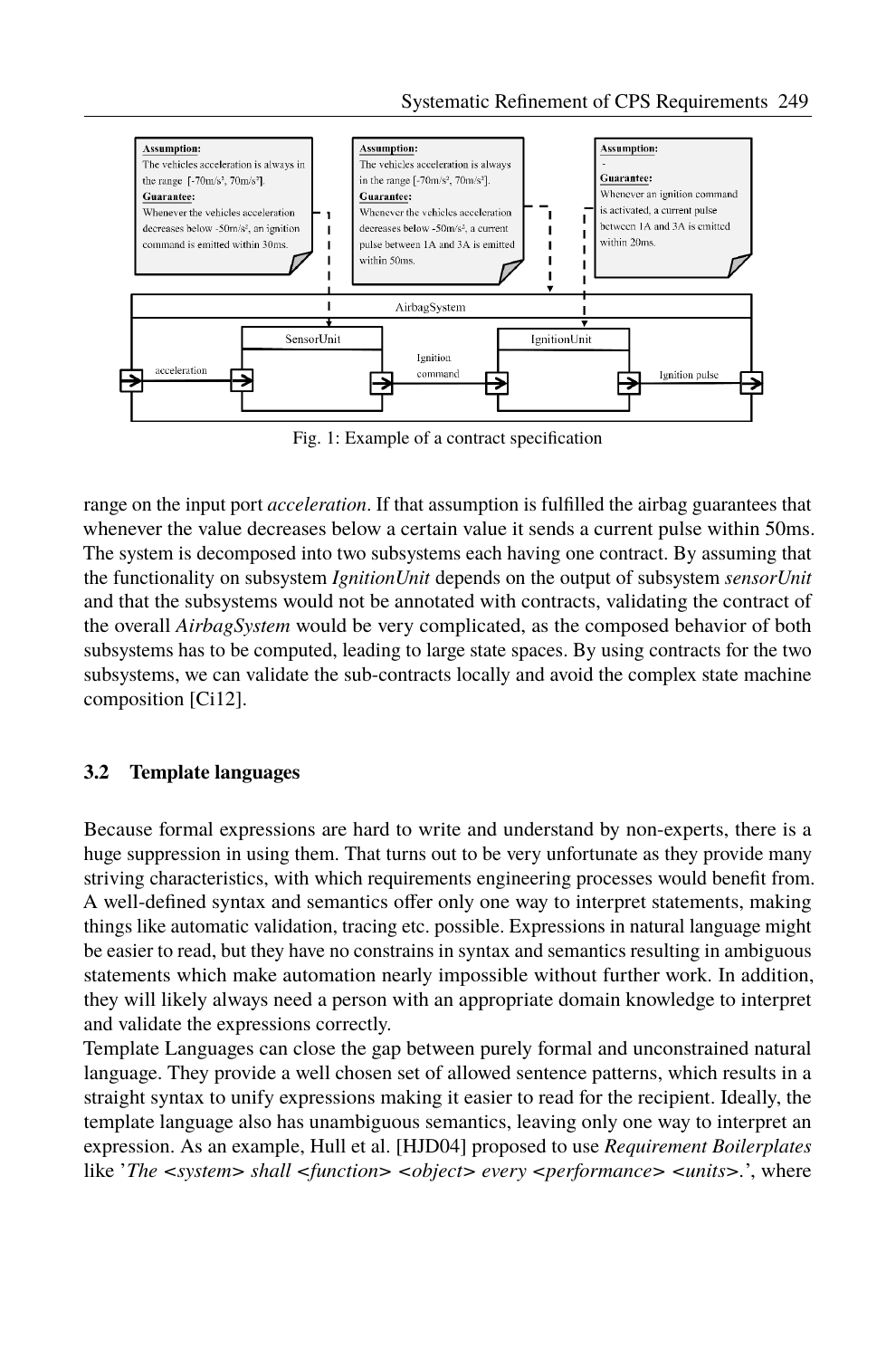<span id="page-4-0"></span>

Fig. 1: Example of a contract specification

range on the input port *acceleration*. If that assumption is fulfilled the airbag guarantees that whenever the value decreases below a certain value it sends a current pulse within 50ms. The system is decomposed into two subsystems each having one contract. By assuming that the functionality on subsystem *IgnitionUnit* depends on the output of subsystem *sensorUnit* and that the subsystems would not be annotated with contracts, validating the contract of the overall *AirbagSystem* would be very complicated, as the composed behavior of both subsystems has to be computed, leading to large state spaces. By using contracts for the two subsystems, we can validate the sub-contracts locally and avoid the complex state machine composition [\[Ci12\]](#page-15-5).

#### **3.2 Template languages**

Because formal expressions are hard to write and understand by non-experts, there is a huge suppression in using them. That turns out to be very unfortunate as they provide many striving characteristics, with which requirements engineering processes would benefit from. A well-defined syntax and semantics offer only one way to interpret statements, making things like automatic validation, tracing etc. possible. Expressions in natural language might be easier to read, but they have no constrains in syntax and semantics resulting in ambiguous statements which make automation nearly impossible without further work. In addition, they will likely always need a person with an appropriate domain knowledge to interpret and validate the expressions correctly.

Template Languages can close the gap between purely formal and unconstrained natural language. They provide a well chosen set of allowed sentence patterns, which results in a straight syntax to unify expressions making it easier to read for the recipient. Ideally, the template language also has unambiguous semantics, leaving only one way to interpret an expression. As an example, Hull et al. [\[HJD04\]](#page-15-0) proposed to use *Requirement Boilerplates* like 'The <system> shall <function> <object> every <performance> <units>.', where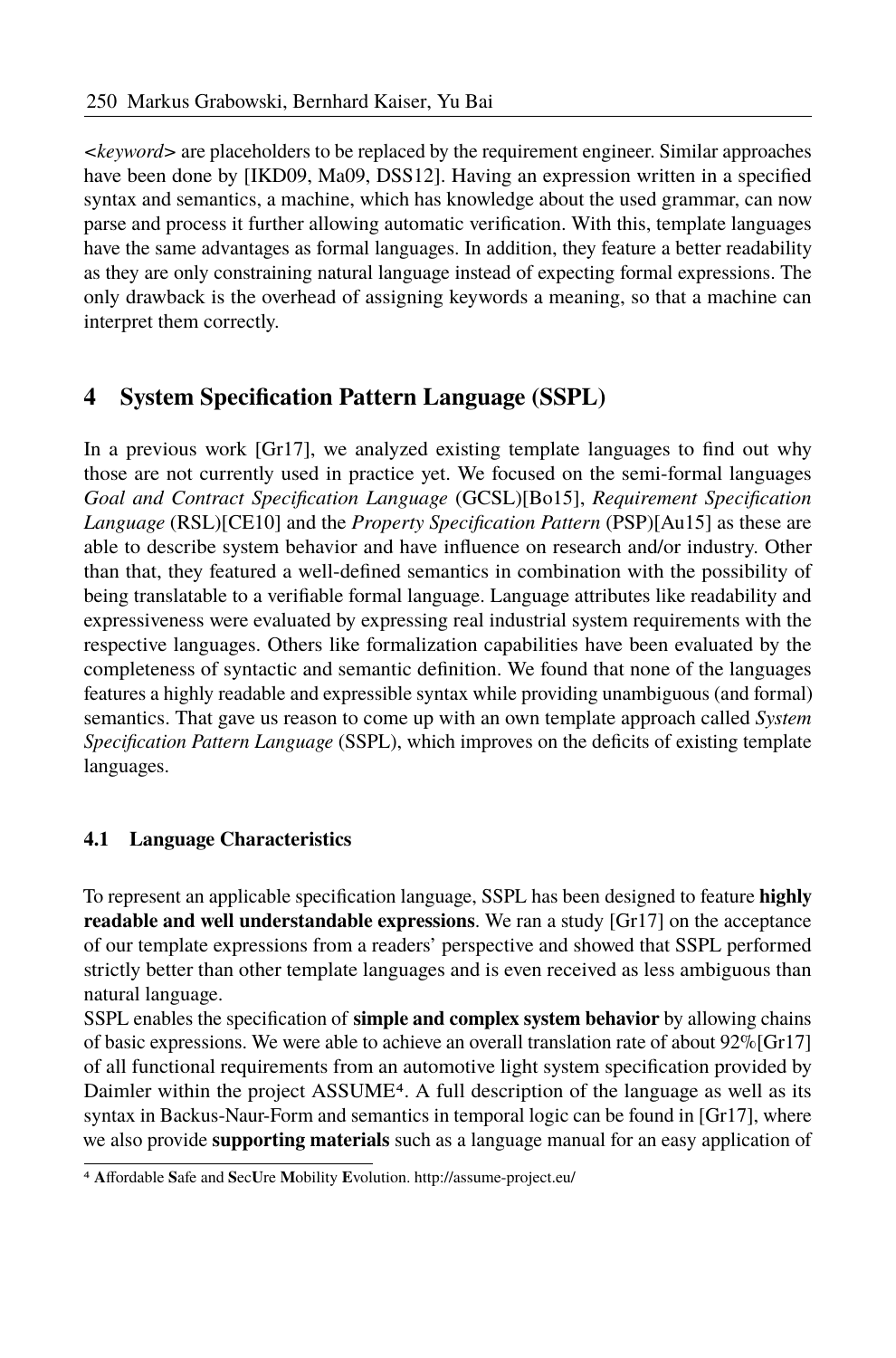*<keyword>* are placeholders to be replaced by the requirement engineer. Similar approaches have been done by [\[IKD09,](#page-15-6) [Ma09,](#page-15-7) [DSS12\]](#page-15-8). Having an expression written in a specified syntax and semantics, a machine, which has knowledge about the used grammar, can now parse and process it further allowing automatic verification. With this, template languages have the same advantages as formal languages. In addition, they feature a better readability as they are only constraining natural language instead of expecting formal expressions. The only drawback is the overhead of assigning keywords a meaning, so that a machine can interpret them correctly.

# **4 System Specification Pattern Language (SSPL)**

In a previous work  $[Gr17]$ , we analyzed existing template languages to find out why those are not currently used in practice yet. We focused on the semi-formal languages *Goal and Contract Specification Language* (GCSL)[\[Bo15\]](#page-15-2), *Requirement Specification Language* (RSL)[\[CE10\]](#page-15-1) and the *Property Specification Pattern* (PSP)[\[Au15\]](#page-15-10) as these are able to describe system behavior and have influence on research and/or industry. Other than that, they featured a well-defined semantics in combination with the possibility of being translatable to a verifiable formal language. Language attributes like readability and expressiveness were evaluated by expressing real industrial system requirements with the respective languages. Others like formalization capabilities have been evaluated by the completeness of syntactic and semantic definition. We found that none of the languages features a highly readable and expressible syntax while providing unambiguous (and formal) semantics. That gave us reason to come up with an own template approach called *System Specification Pattern Language* (SSPL), which improves on the deficits of existing template languages.

#### **4.1 Language Characteristics**

To represent an applicable specification language, SSPL has been designed to feature **highly readable and well understandable expressions**. We ran a study [\[Gr17\]](#page-15-9) on the acceptance of our template expressions from a readers' perspective and showed that SSPL performed strictly better than other template languages and is even received as less ambiguous than natural language.

SSPL enables the specification of **simple and complex system behavior** by allowing chains of basic expressions. We were able to achieve an overall translation rate of about  $92\%$ [\[Gr17\]](#page-15-9) of all functional requirements from an automotive light system specification provided by Daimler within the project ASSUME[4](#page-5-0). A full description of the language as well as its syntax in Backus-Naur-Form and semantics in temporal logic can be found in [\[Gr17\]](#page-15-9), where we also provide **supporting materials** such as a language manual for an easy application of

<span id="page-5-0"></span><sup>4</sup> **A**ffordable **S**afe and **S**ec**U**re **M**obility **E**volution. http://assume-project.eu/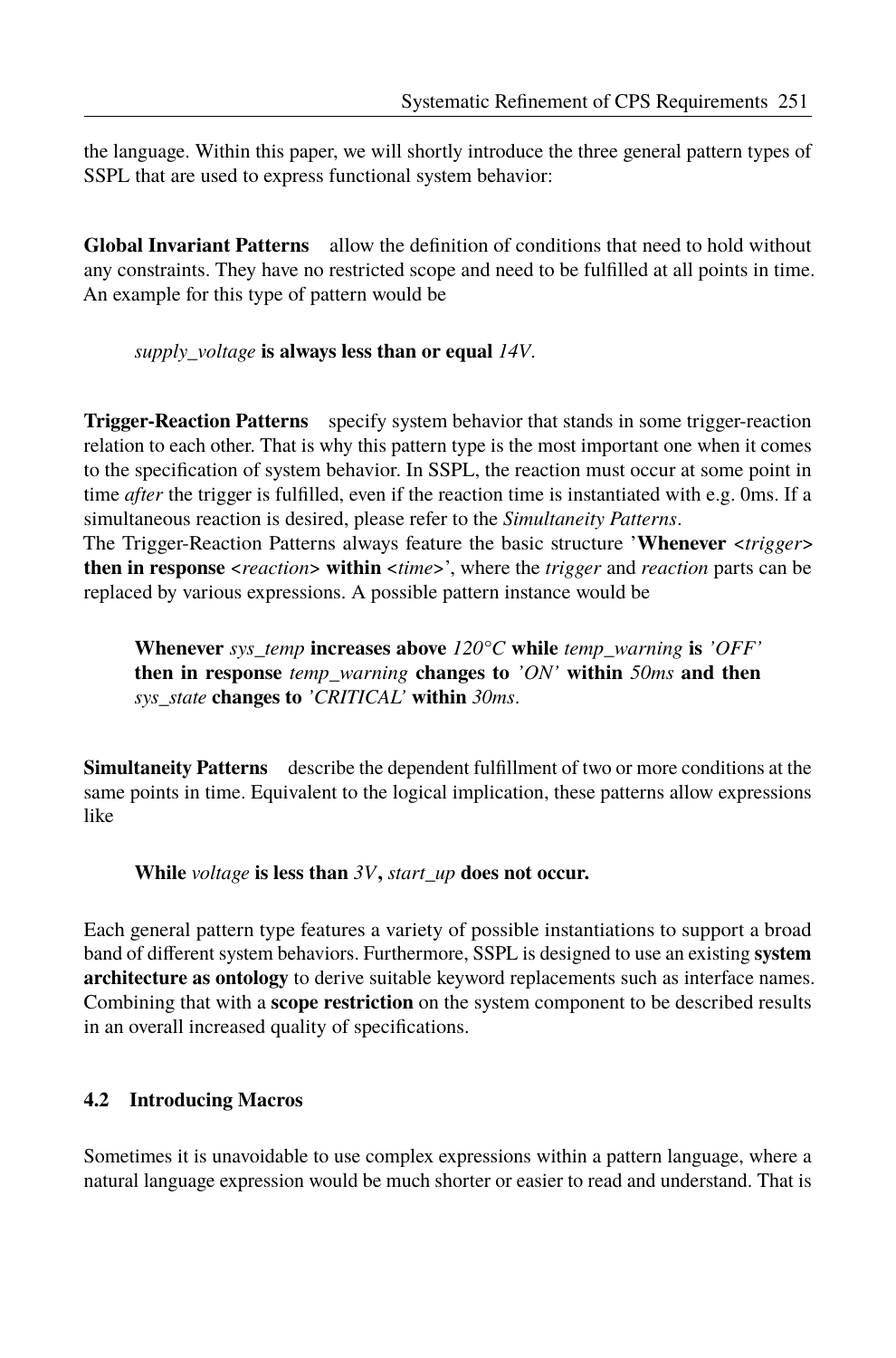the language. Within this paper, we will shortly introduce the three general pattern types of SSPL that are used to express functional system behavior:

**Global Invariant Patterns** allow the definition of conditions that need to hold without any constraints. They have no restricted scope and need to be fulfilled at all points in time. An example for this type of pattern would be

*supply\_voltage* **is always less than or equal** *14V*.

**Trigger-Reaction Patterns** specify system behavior that stands in some trigger-reaction relation to each other. That is why this pattern type is the most important one when it comes to the specification of system behavior. In SSPL, the reaction must occur at some point in time *after* the trigger is fulfilled, even if the reaction time is instantiated with e.g. 0ms. If a simultaneous reaction is desired, please refer to the *Simultaneity Patterns*.

The Trigger-Reaction Patterns always feature the basic structure 'Whenever <*trigger*> **then in response** <*reaction*> **within** <*time*>', where the *trigger* and *reaction* parts can be replaced by various expressions. A possible pattern instance would be

**Whenever** *sys\_temp* **increases above** *120°C* **while** *temp\_warning* **is** *'OFF'* **then in response** *temp\_warning* **changes to** *'ON'* **within** *50ms* **and then** *sys\_state* **changes to** *'CRITICAL'* **within** *30ms*.

**Simultaneity Patterns** describe the dependent fulfillment of two or more conditions at the same points in time. Equivalent to the logical implication, these patterns allow expressions like

**While** *voltage* **is less than** *3V***,** *start\_up* **does not occur.**

Each general pattern type features a variety of possible instantiations to support a broad band of different system behaviors. Furthermore, SSPL is designed to use an existing **system architecture as ontology** to derive suitable keyword replacements such as interface names. Combining that with a **scope restriction** on the system component to be described results in an overall increased quality of specifications.

### **4.2 Introducing Macros**

Sometimes it is unavoidable to use complex expressions within a pattern language, where a natural language expression would be much shorter or easier to read and understand. That is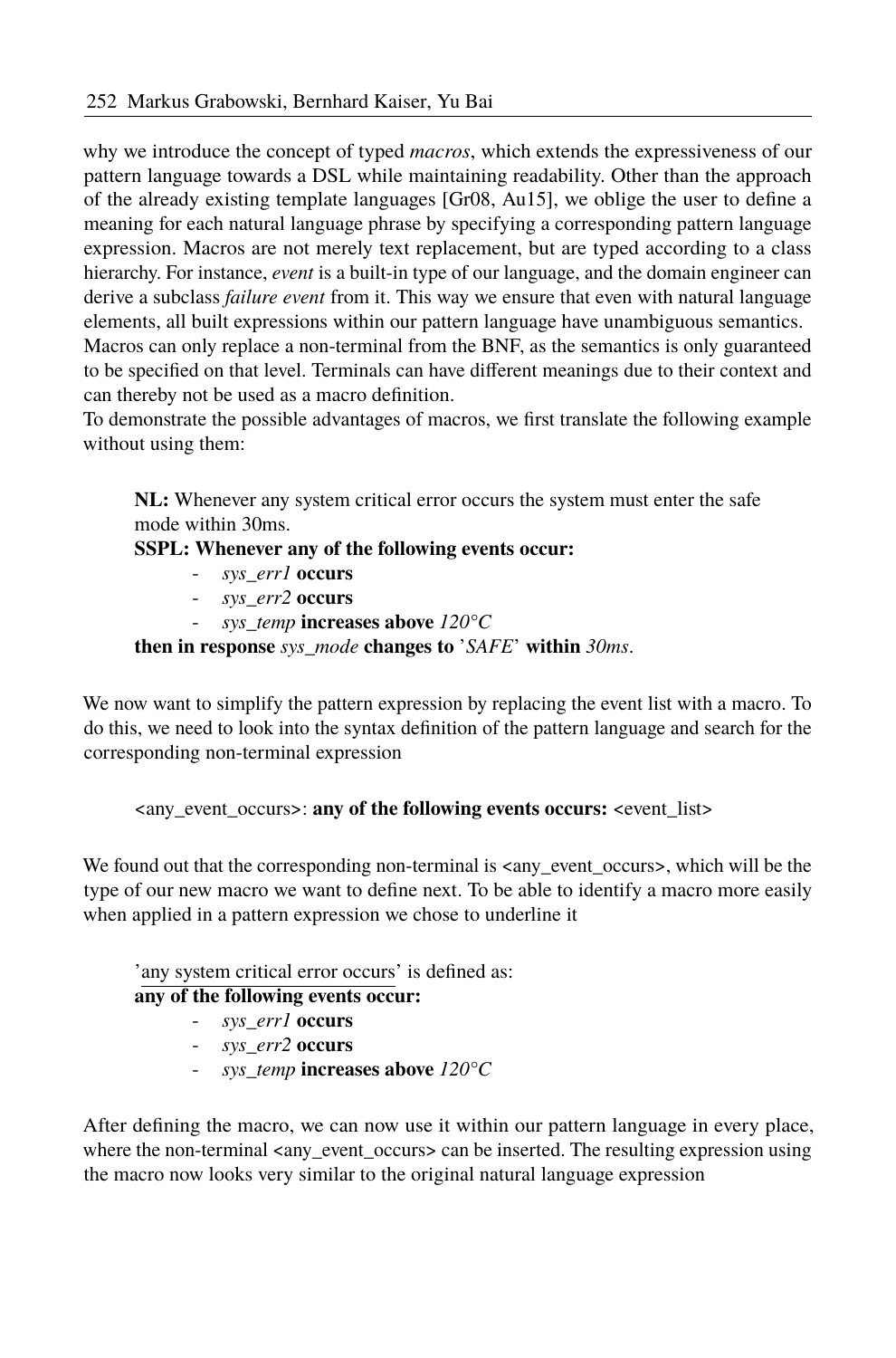why we introduce the concept of typed *macros*, which extends the expressiveness of our pattern language towards a DSL while maintaining readability. Other than the approach of the already existing template languages  $[Gr08, Au15]$  $[Gr08, Au15]$ , we oblige the user to define a meaning for each natural language phrase by specifying a corresponding pattern language expression. Macros are not merely text replacement, but are typed according to a class hierarchy. For instance, *event* is a built-in type of our language, and the domain engineer can derive a subclass *failure event* from it. This way we ensure that even with natural language elements, all built expressions within our pattern language have unambiguous semantics.

Macros can only replace a non-terminal from the BNF, as the semantics is only guaranteed to be specified on that level. Terminals can have different meanings due to their context and can thereby not be used as a macro definition.

To demonstrate the possible advantages of macros, we first translate the following example without using them:

**NL:** Whenever any system critical error occurs the system must enter the safe mode within 30ms.

#### **SSPL: Whenever any of the following events occur:**

- *sys\_err1* **occurs**
- *sys\_err2* **occurs**
- *sys\_temp* **increases above** *120°C*

**then in response** *sys\_mode* **changes to** 'SAFE' within 30ms.

We now want to simplify the pattern expression by replacing the event list with a macro. To do this, we need to look into the syntax definition of the pattern language and search for the corresponding non-terminal expression

<any\_event\_occurs>: **any of the following events occurs:** <event\_list>

We found out that the corresponding non-terminal is  $\langle \text{any\_event\_occurs} \rangle$ , which will be the type of our new macro we want to define next. To be able to identify a macro more easily when applied in a pattern expression we chose to underline it

### 'any system critical error occurs' is defined as:

#### **any of the following events occur:**

- *sys\_err1* **occurs**
- *sys\_err2* **occurs**
- *sys\_temp* **increases above** *120°C*

After defining the macro, we can now use it within our pattern language in every place, where the non-terminal <any\_event\_occurs> can be inserted. The resulting expression using the macro now looks very similar to the original natural language expression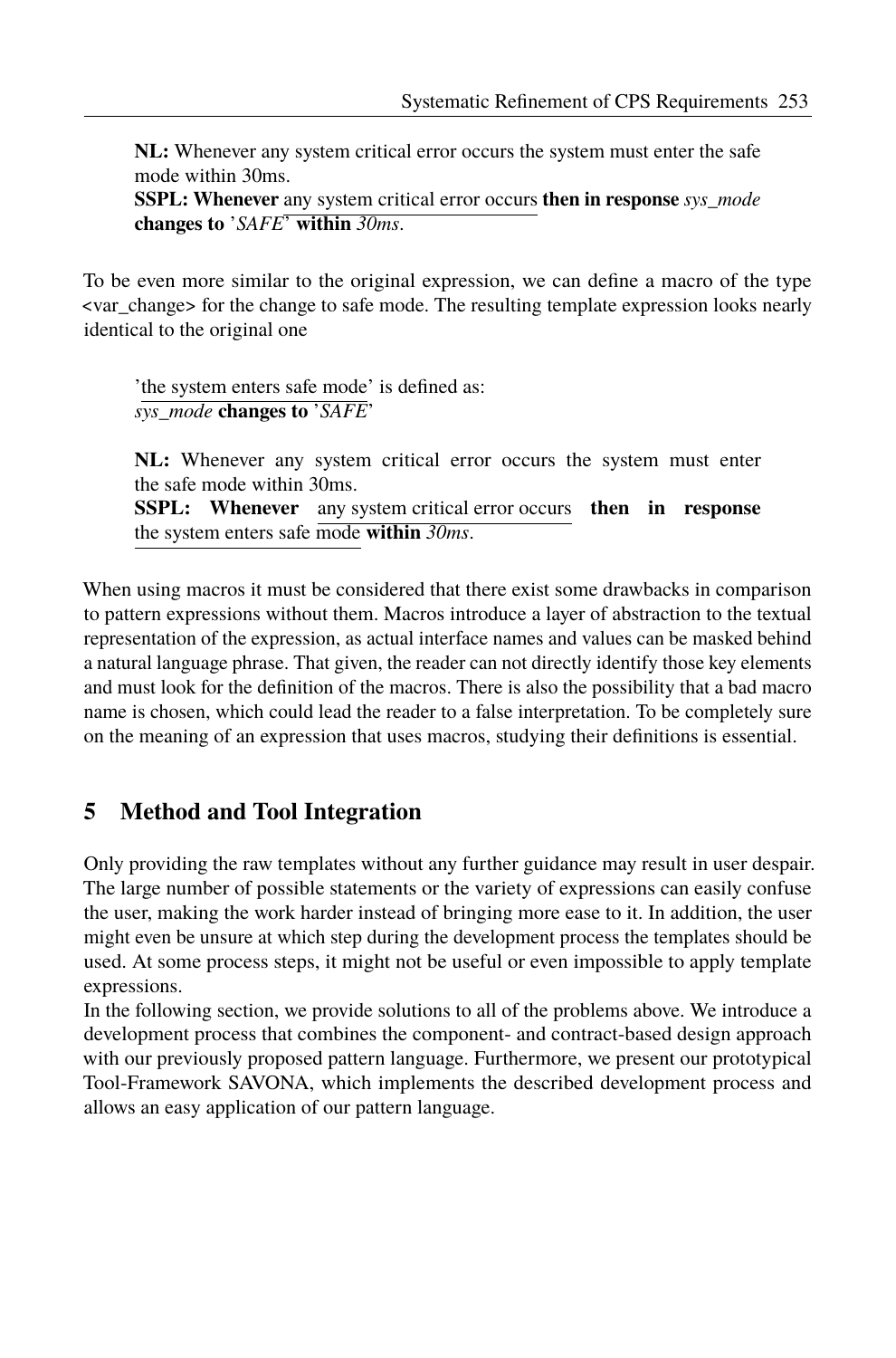**NL:** Whenever any system critical error occurs the system must enter the safe mode within 30ms.

**SSPL: Whenever** any system critical error occurs **then in response** *sys\_mode* **changes to** 'SAFE' **within** 30ms.

To be even more similar to the original expression, we can define a macro of the type <var\_change> for the change to safe mode. The resulting template expression looks nearly identical to the original one

'the system enters safe mode' is defined as: *sys\_mode* **changes** to 'SAFE'

**NL:** Whenever any system critical error occurs the system must enter the safe mode within 30ms.

**SSPL: Whenever** any system critical error occurs **then in response** the system enters safe mode **within** *30ms*.

When using macros it must be considered that there exist some drawbacks in comparison to pattern expressions without them. Macros introduce a layer of abstraction to the textual representation of the expression, as actual interface names and values can be masked behind a natural language phrase. That given, the reader can not directly identify those key elements and must look for the definition of the macros. There is also the possibility that a bad macro name is chosen, which could lead the reader to a false interpretation. To be completely sure on the meaning of an expression that uses macros, studying their definitions is essential.

## **5 Method and Tool Integration**

Only providing the raw templates without any further guidance may result in user despair. The large number of possible statements or the variety of expressions can easily confuse the user, making the work harder instead of bringing more ease to it. In addition, the user might even be unsure at which step during the development process the templates should be used. At some process steps, it might not be useful or even impossible to apply template expressions.

In the following section, we provide solutions to all of the problems above. We introduce a development process that combines the component- and contract-based design approach with our previously proposed pattern language. Furthermore, we present our prototypical Tool-Framework SAVONA, which implements the described development process and allows an easy application of our pattern language.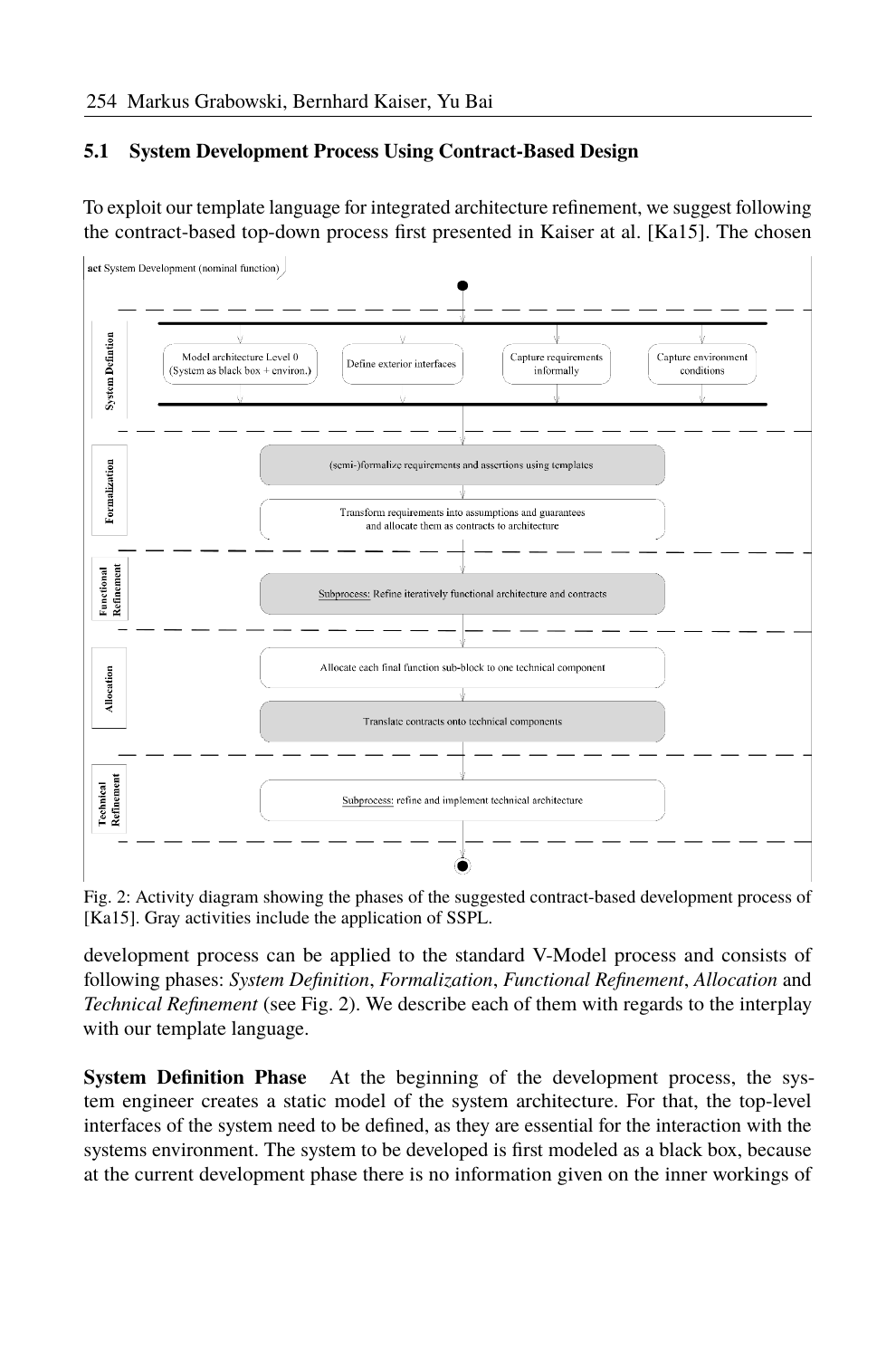#### **5.1 System Development Process Using Contract-Based Design**

To exploit our template language for integrated architecture refinement, we suggest following the contract-based top-down process first presented in Kaiser at al. [\[Ka15\]](#page-15-3). The chosen

<span id="page-9-0"></span>

Fig. 2: Activity diagram showing the phases of the suggested contract-based development process of [\[Ka15\]](#page-15-3). Gray activities include the application of SSPL.

development process can be applied to the standard V-Model process and consists of following phases: *System Definition*, *Formalization*, *Functional Refinement*, *Allocation* and *Technical Refinement* (see Fig. [2\)](#page-9-0). We describe each of them with regards to the interplay with our template language.

**System Definition Phase** At the beginning of the development process, the system engineer creates a static model of the system architecture. For that, the top-level interfaces of the system need to be defined, as they are essential for the interaction with the systems environment. The system to be developed is first modeled as a black box, because at the current development phase there is no information given on the inner workings of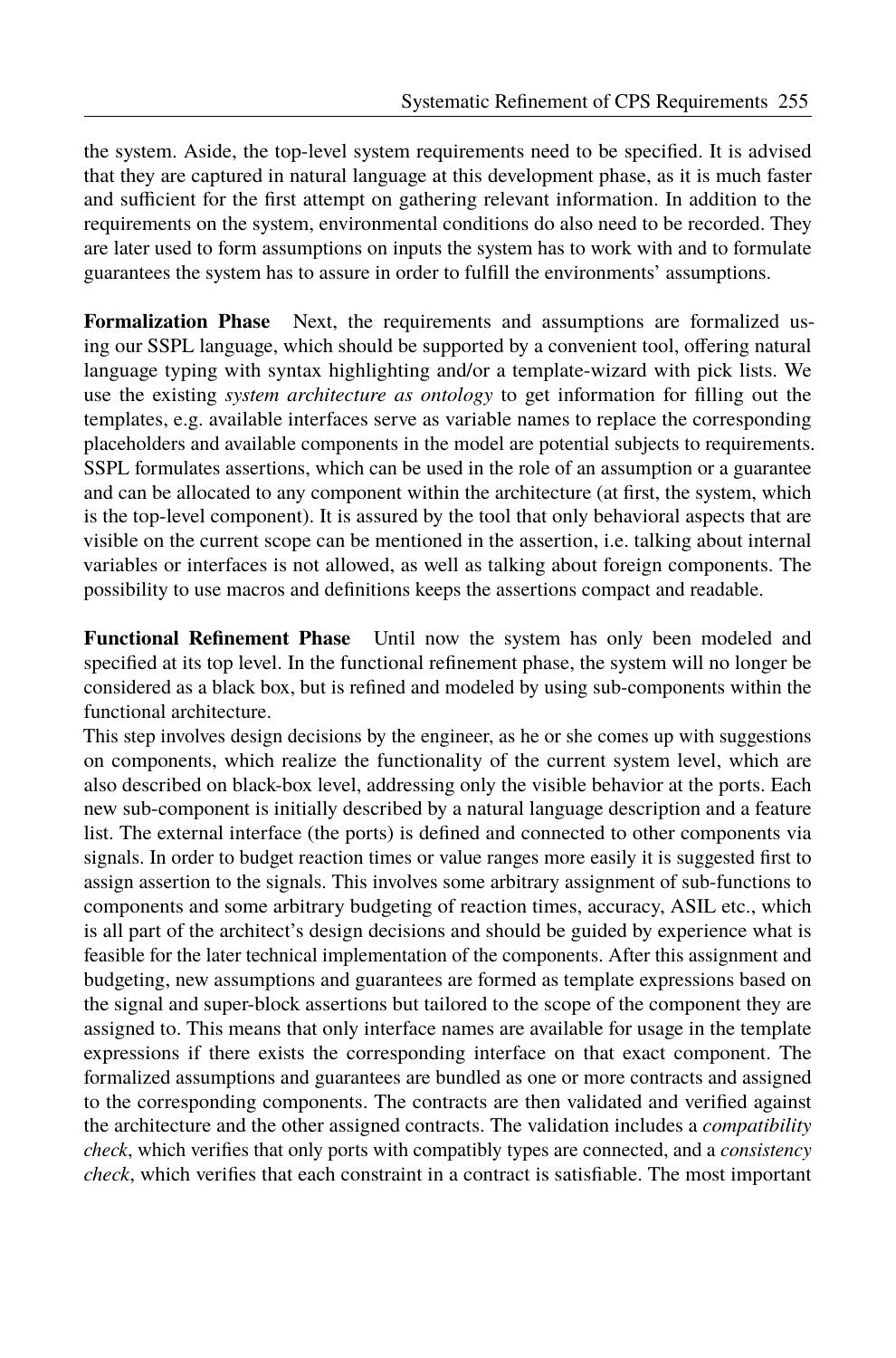the system. Aside, the top-level system requirements need to be specified. It is advised that they are captured in natural language at this development phase, as it is much faster and sufficient for the first attempt on gathering relevant information. In addition to the requirements on the system, environmental conditions do also need to be recorded. They are later used to form assumptions on inputs the system has to work with and to formulate guarantees the system has to assure in order to fulfill the environments' assumptions.

**Formalization Phase** Next, the requirements and assumptions are formalized using our SSPL language, which should be supported by a convenient tool, offering natural language typing with syntax highlighting and/or a template-wizard with pick lists. We use the existing *system architecture as ontology* to get information for filling out the templates, e.g. available interfaces serve as variable names to replace the corresponding placeholders and available components in the model are potential subjects to requirements. SSPL formulates assertions, which can be used in the role of an assumption or a guarantee and can be allocated to any component within the architecture (at first, the system, which is the top-level component). It is assured by the tool that only behavioral aspects that are visible on the current scope can be mentioned in the assertion, i.e. talking about internal variables or interfaces is not allowed, as well as talking about foreign components. The possibility to use macros and definitions keeps the assertions compact and readable.

**Functional Refinement Phase** Until now the system has only been modeled and specified at its top level. In the functional refinement phase, the system will no longer be considered as a black box, but is refined and modeled by using sub-components within the functional architecture.

This step involves design decisions by the engineer, as he or she comes up with suggestions on components, which realize the functionality of the current system level, which are also described on black-box level, addressing only the visible behavior at the ports. Each new sub-component is initially described by a natural language description and a feature list. The external interface (the ports) is defined and connected to other components via signals. In order to budget reaction times or value ranges more easily it is suggested first to assign assertion to the signals. This involves some arbitrary assignment of sub-functions to components and some arbitrary budgeting of reaction times, accuracy, ASIL etc., which is all part of the architect's design decisions and should be guided by experience what is feasible for the later technical implementation of the components. After this assignment and budgeting, new assumptions and guarantees are formed as template expressions based on the signal and super-block assertions but tailored to the scope of the component they are assigned to. This means that only interface names are available for usage in the template expressions if there exists the corresponding interface on that exact component. The formalized assumptions and guarantees are bundled as one or more contracts and assigned to the corresponding components. The contracts are then validated and verified against the architecture and the other assigned contracts. The validation includes a *compatibility check*, which verifies that only ports with compatibly types are connected, and a *consistency check*, which verifies that each constraint in a contract is satisfiable. The most important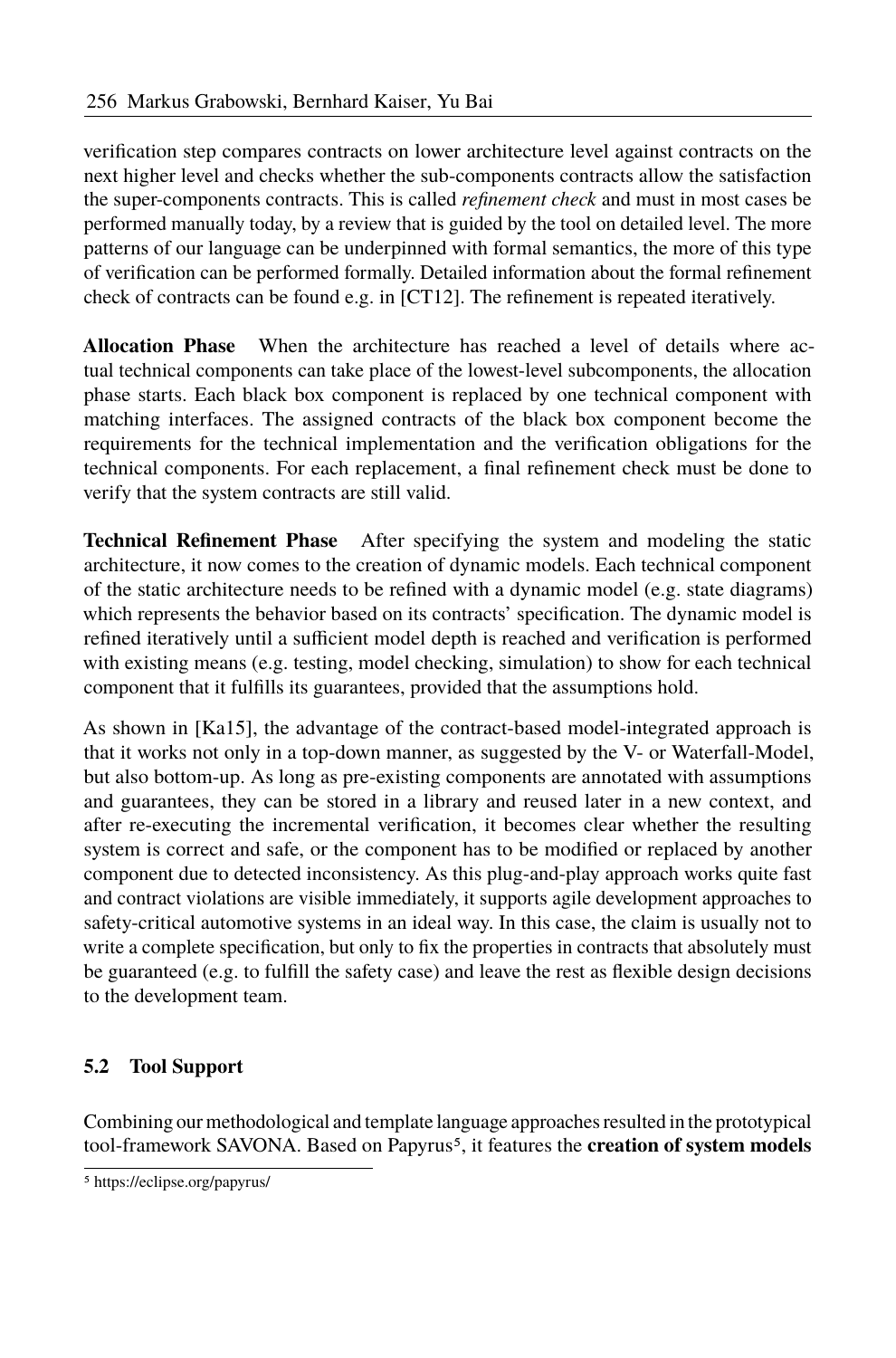verification step compares contracts on lower architecture level against contracts on the next higher level and checks whether the sub-components contracts allow the satisfaction the super-components contracts. This is called *refinement check* and must in most cases be performed manually today, by a review that is guided by the tool on detailed level. The more patterns of our language can be underpinned with formal semantics, the more of this type of verification can be performed formally. Detailed information about the formal refinement check of contracts can be found e.g. in  $[CT12]$ . The refinement is repeated iteratively.

**Allocation Phase** When the architecture has reached a level of details where actual technical components can take place of the lowest-level subcomponents, the allocation phase starts. Each black box component is replaced by one technical component with matching interfaces. The assigned contracts of the black box component become the requirements for the technical implementation and the verification obligations for the technical components. For each replacement, a final refinement check must be done to verify that the system contracts are still valid.

**Technical Refinement Phase** After specifying the system and modeling the static architecture, it now comes to the creation of dynamic models. Each technical component of the static architecture needs to be refined with a dynamic model (e.g. state diagrams) which represents the behavior based on its contracts' specification. The dynamic model is refined iteratively until a sufficient model depth is reached and verification is performed with existing means (e.g. testing, model checking, simulation) to show for each technical component that it fulfills its guarantees, provided that the assumptions hold.

As shown in [\[Ka15\]](#page-15-3), the advantage of the contract-based model-integrated approach is that it works not only in a top-down manner, as suggested by the V- or Waterfall-Model, but also bottom-up. As long as pre-existing components are annotated with assumptions and guarantees, they can be stored in a library and reused later in a new context, and after re-executing the incremental verification, it becomes clear whether the resulting system is correct and safe, or the component has to be modified or replaced by another component due to detected inconsistency. As this plug-and-play approach works quite fast and contract violations are visible immediately, it supports agile development approaches to safety-critical automotive systems in an ideal way. In this case, the claim is usually not to write a complete specification, but only to fix the properties in contracts that absolutely must be guaranteed (e.g. to fulfill the safety case) and leave the rest as flexible design decisions to the development team.

### **5.2 Tool Support**

Combining our methodological and template language approaches resulted in the prototypical tool-framework SAVONA. Based on Papyrus[5](#page-11-0), it features the **creation of system models**

<span id="page-11-0"></span><sup>5</sup> https://eclipse.org/papyrus/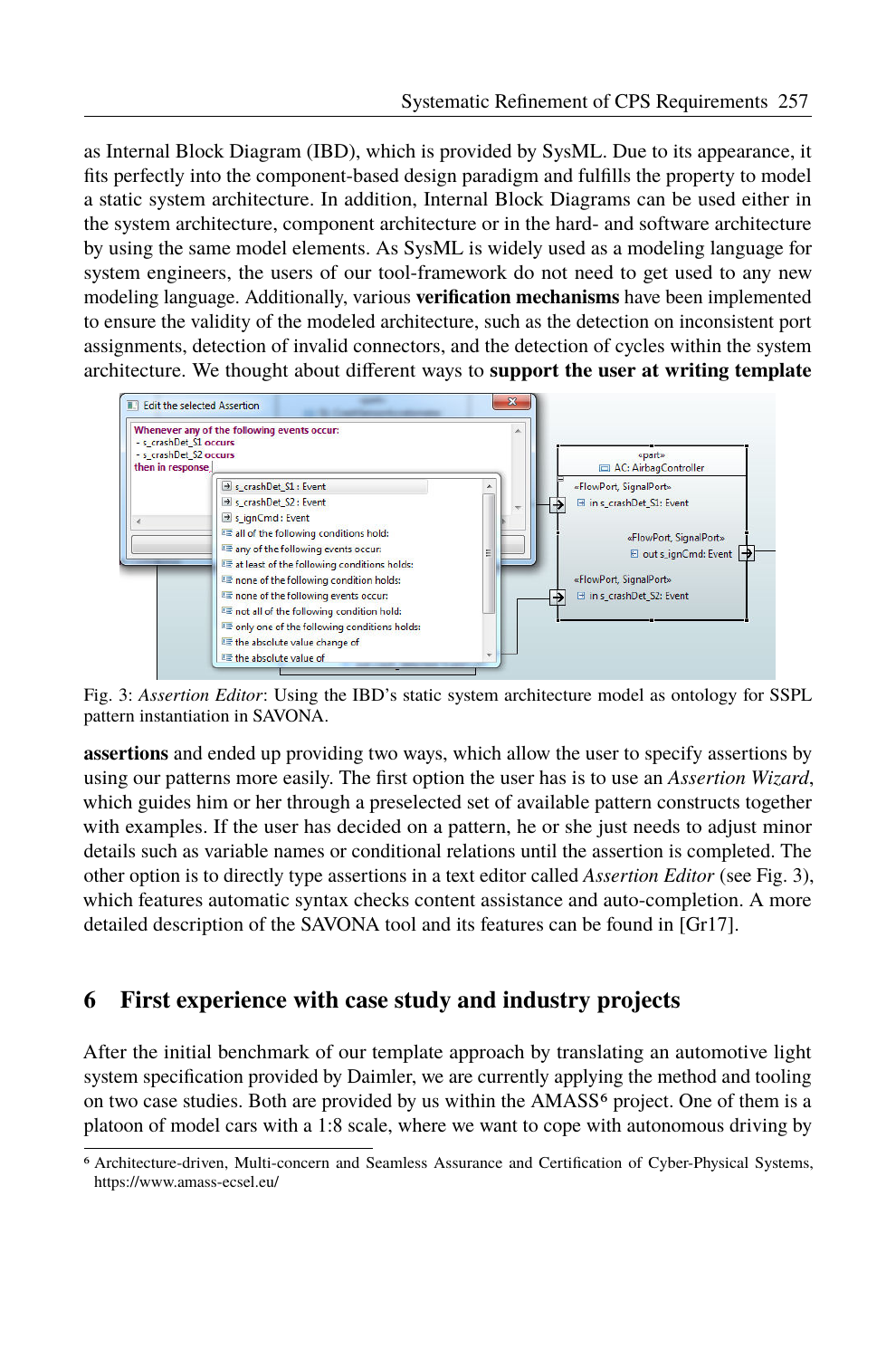as Internal Block Diagram (IBD), which is provided by SysML. Due to its appearance, it fits perfectly into the component-based design paradigm and fulfills the property to model a static system architecture. In addition, Internal Block Diagrams can be used either in the system architecture, component architecture or in the hard- and software architecture by using the same model elements. As SysML is widely used as a modeling language for system engineers, the users of our tool-framework do not need to get used to any new modeling language. Additionally, various **verification mechanisms** have been implemented to ensure the validity of the modeled architecture, such as the detection on inconsistent port assignments, detection of invalid connectors, and the detection of cycles within the system architecture. We thought about different ways to **support the user at writing template**

<span id="page-12-0"></span>

Fig. 3: *Assertion Editor*: Using the IBD's static system architecture model as ontology for SSPL pattern instantiation in SAVONA.

**assertions** and ended up providing two ways, which allow the user to specify assertions by using our patterns more easily. The first option the user has is to use an *Assertion Wizard*, which guides him or her through a preselected set of available pattern constructs together with examples. If the user has decided on a pattern, he or she just needs to adjust minor details such as variable names or conditional relations until the assertion is completed. The other option is to directly type assertions in a text editor called *Assertion Editor* (see Fig. [3\)](#page-12-0), which features automatic syntax checks content assistance and auto-completion. A more detailed description of the SAVONA tool and its features can be found in [\[Gr17\]](#page-15-9).

# <span id="page-12-2"></span>**6 First experience with case study and industry projects**

After the initial benchmark of our template approach by translating an automotive light system specification provided by Daimler, we are currently applying the method and tooling on two case studies. Both are provided by us within the  $AMASS<sup>6</sup>$  $AMASS<sup>6</sup>$  $AMASS<sup>6</sup>$  project. One of them is a platoon of model cars with a 1:8 scale, where we want to cope with autonomous driving by

<span id="page-12-1"></span><sup>&</sup>lt;sup>6</sup> Architecture-driven, Multi-concern and Seamless Assurance and Certification of Cyber-Physical Systems, https://www.amass-ecsel.eu/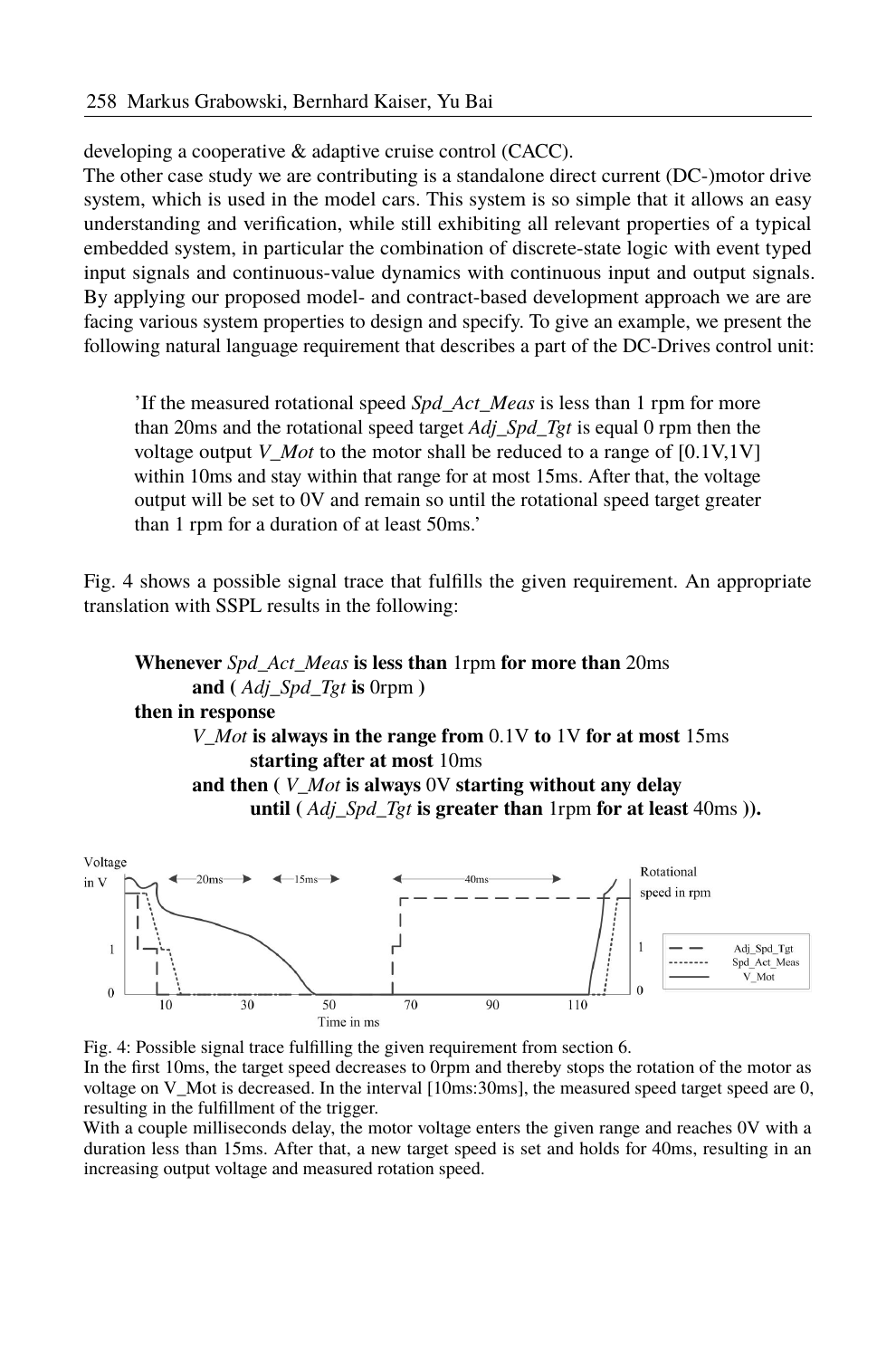developing a cooperative & adaptive cruise control (CACC).

The other case study we are contributing is a standalone direct current (DC-)motor drive system, which is used in the model cars. This system is so simple that it allows an easy understanding and verification, while still exhibiting all relevant properties of a typical embedded system, in particular the combination of discrete-state logic with event typed input signals and continuous-value dynamics with continuous input and output signals. By applying our proposed model- and contract-based development approach we are are facing various system properties to design and specify. To give an example, we present the following natural language requirement that describes a part of the DC-Drives control unit:

If the measured rotational speed *Spd\_Act\_Meas* is less than 1 rpm for more than 20ms and the rotational speed target *Adj\_Spd\_Tgt* is equal 0 rpm then the voltage output *V Mot* to the motor shall be reduced to a range of  $[0.1V,1V]$ within 10ms and stay within that range for at most 15ms. After that, the voltage output will be set to 0V and remain so until the rotational speed target greater than 1 rpm for a duration of at least 50ms.

Fig. [4](#page-13-0) shows a possible signal trace that fulfills the given requirement. An appropriate translation with SSPL results in the following:

## **Whenever** *Spd\_Act\_Meas* **is less than** 1rpm **for more than** 20ms **and (** *Adj\_Spd\_Tgt* **is** 0rpm **) then in response** *V\_Mot* **is always in the range from** 0.1V **to** 1V **for at most** 15ms **starting after at most** 10ms **and then (** *V\_Mot* **is always** 0V **starting without any delay until (** *Adj\_Spd\_Tgt* **is greater than** 1rpm **for at least** 40ms **)).**

<span id="page-13-0"></span>

Fig. 4: Possible signal trace fulfilling the given requirement from sectio[n 6.](#page-12-2)

In the first 10ms, the target speed decreases to 0rpm and thereby stops the rotation of the motor as voltage on V\_Mot is decreased. In the interval [10ms:30ms], the measured speed target speed are 0, resulting in the fulfillment of the trigger.

With a couple milliseconds delay, the motor voltage enters the given range and reaches 0V with a duration less than 15ms. After that, a new target speed is set and holds for 40ms, resulting in an increasing output voltage and measured rotation speed.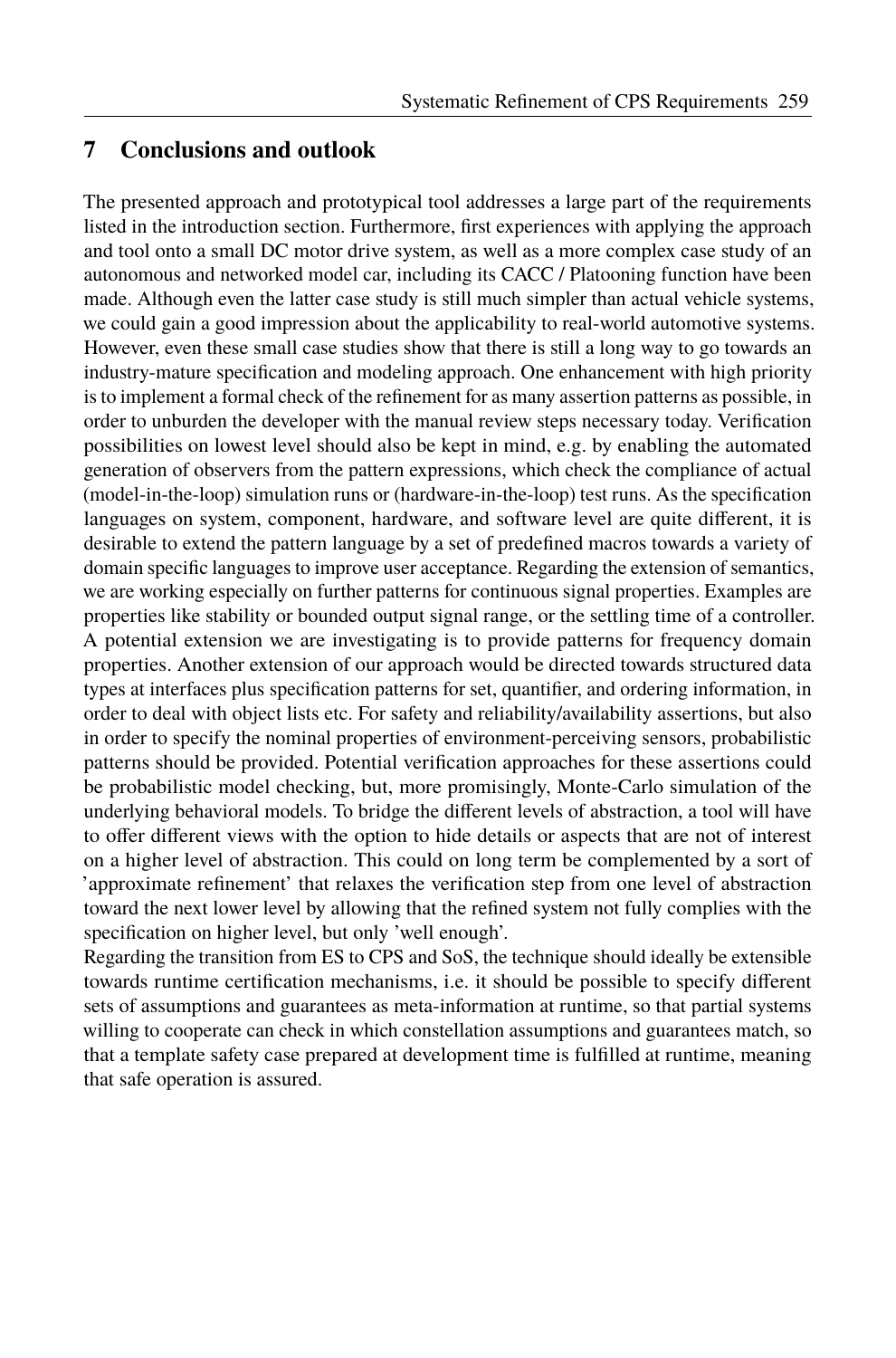## **7 Conclusions and outlook**

The presented approach and prototypical tool addresses a large part of the requirements listed in the introduction section. Furthermore, first experiences with applying the approach and tool onto a small DC motor drive system, as well as a more complex case study of an autonomous and networked model car, including its CACC / Platooning function have been made. Although even the latter case study is still much simpler than actual vehicle systems, we could gain a good impression about the applicability to real-world automotive systems. However, even these small case studies show that there is still a long way to go towards an industry-mature specification and modeling approach. One enhancement with high priority is to implement a formal check of the refinement for as many assertion patterns as possible, in order to unburden the developer with the manual review steps necessary today. Verification possibilities on lowest level should also be kept in mind, e.g. by enabling the automated generation of observers from the pattern expressions, which check the compliance of actual (model-in-the-loop) simulation runs or (hardware-in-the-loop) test runs. As the specification languages on system, component, hardware, and software level are quite different, it is desirable to extend the pattern language by a set of predefined macros towards a variety of domain specific languages to improve user acceptance. Regarding the extension of semantics, we are working especially on further patterns for continuous signal properties. Examples are properties like stability or bounded output signal range, or the settling time of a controller. A potential extension we are investigating is to provide patterns for frequency domain properties. Another extension of our approach would be directed towards structured data types at interfaces plus specification patterns for set, quantifier, and ordering information, in order to deal with object lists etc. For safety and reliability/availability assertions, but also in order to specify the nominal properties of environment-perceiving sensors, probabilistic patterns should be provided. Potential verification approaches for these assertions could be probabilistic model checking, but, more promisingly, Monte-Carlo simulation of the underlying behavioral models. To bridge the different levels of abstraction, a tool will have to offer different views with the option to hide details or aspects that are not of interest on a higher level of abstraction. This could on long term be complemented by a sort of 'approximate refinement' that relaxes the verification step from one level of abstraction toward the next lower level by allowing that the refined system not fully complies with the specification on higher level, but only 'well enough'.

Regarding the transition from ES to CPS and SoS, the technique should ideally be extensible towards runtime certification mechanisms, i.e. it should be possible to specify different sets of assumptions and guarantees as meta-information at runtime, so that partial systems willing to cooperate can check in which constellation assumptions and guarantees match, so that a template safety case prepared at development time is fulfilled at runtime, meaning that safe operation is assured.